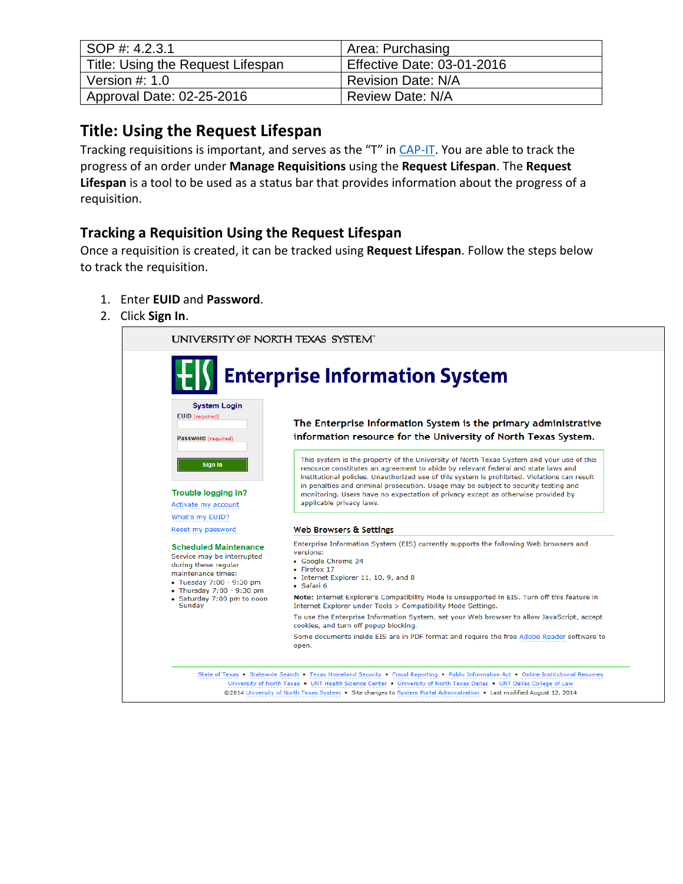| SOP #: 4.2.3.1                    | Area: Purchasing                  |
|-----------------------------------|-----------------------------------|
| Title: Using the Request Lifespan | <b>Effective Date: 03-01-2016</b> |
| Version $#: 1.0$                  | <b>Revision Date: N/A</b>         |
| Approval Date: 02-25-2016         | <b>Review Date: N/A</b>           |

## **Title: Using the Request Lifespan**

Tracking requisitions is important, and serves as the "T" in [CAP-IT.](https://bsc.untsystem.edu/sites/default/files/CAP_IT.docx) You are able to track the progress of an order under **Manage Requisitions** using the **Request Lifespan**. The **Request Lifespan** is a tool to be used as a status bar that provides information about the progress of a requisition.

## **Tracking a Requisition Using the Request Lifespan**

Once a requisition is created, it can be tracked using **Request Lifespan**. Follow the steps below to track the requisition.

- 1. Enter **EUID** and **Password**.
- 2. Click **Sign In**.

|                                                                                                                                      | <b>Enterprise Information System</b>                                                                                                                                                                                                                                                                                                                                                                                                                                                 |  |  |  |  |
|--------------------------------------------------------------------------------------------------------------------------------------|--------------------------------------------------------------------------------------------------------------------------------------------------------------------------------------------------------------------------------------------------------------------------------------------------------------------------------------------------------------------------------------------------------------------------------------------------------------------------------------|--|--|--|--|
| <b>System Login</b><br>EUID (required)<br>Password (required)                                                                        | The Enterprise Information System is the primary administrative<br>information resource for the University of North Texas System.                                                                                                                                                                                                                                                                                                                                                    |  |  |  |  |
| Sign In<br>Trouble logging in?<br>Activate my account                                                                                | This system is the property of the University of North Texas System and your use of this<br>resource constitutes an agreement to abide by relevant federal and state laws and<br>institutional policies. Unauthorized use of this system is prohibited. Violations can result<br>in penalties and criminal prosecution. Usage may be subject to security testing and<br>monitoring. Users have no expectation of privacy except as otherwise provided by<br>applicable privacy laws. |  |  |  |  |
| What's my EUID?<br>Reset my password                                                                                                 | Web Browsers & Settings                                                                                                                                                                                                                                                                                                                                                                                                                                                              |  |  |  |  |
| <b>Scheduled Maintenance</b><br>Service may be interrupted<br>during these regular<br>maintenance times:<br>• Tuesday 7:00 - 9:30 pm | Enterprise Information System (EIS) currently supports the following Web browsers and<br>versions:<br>• Google Chrome 24<br>$\bullet$ Firefox 17<br>• Internet Explorer 11, 10, 9, and 8<br>• Safari 6                                                                                                                                                                                                                                                                               |  |  |  |  |
| • Thursday 7:00 - 9:30 pm<br>• Saturday 7:00 pm to noon<br>Sunday                                                                    | Note: Internet Explorer's Compatibility Mode is unsupported in EIS. Turn off this feature in<br>Internet Explorer under Tools > Compatibility Mode Settings.                                                                                                                                                                                                                                                                                                                         |  |  |  |  |
|                                                                                                                                      | To use the Enterprise Information System, set your Web browser to allow JavaScript, accept<br>cookies, and turn off popup blocking.                                                                                                                                                                                                                                                                                                                                                  |  |  |  |  |
|                                                                                                                                      | Some documents inside EIS are in PDF format and require the free Adobe Reader software to<br>open.                                                                                                                                                                                                                                                                                                                                                                                   |  |  |  |  |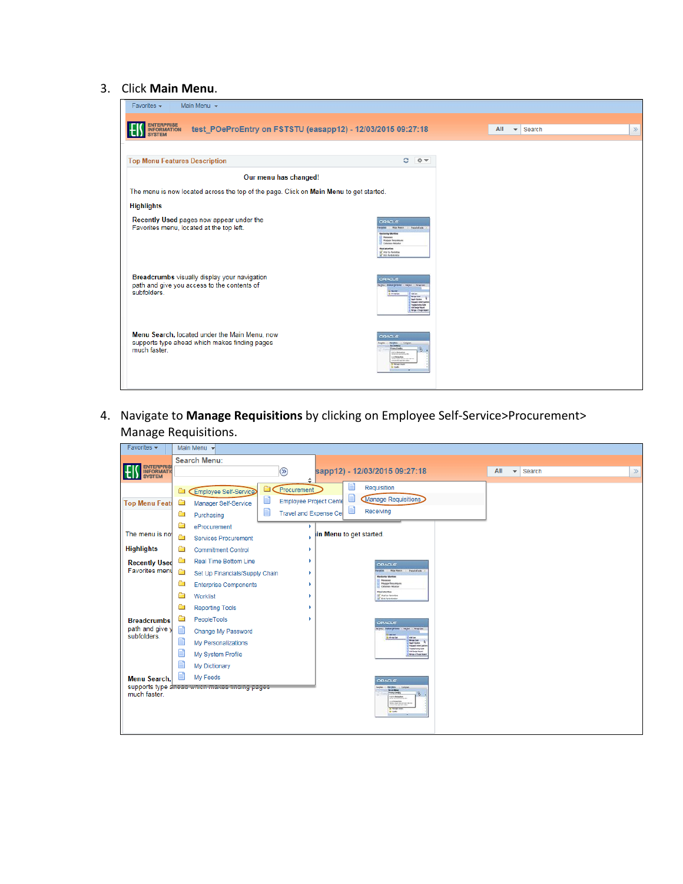## 3. Click **Main Menu**.

| Main Menu $\sim$<br>Favorites $\sim$                                                                             |                                                                                                                                                                                                                                     |                                                    |
|------------------------------------------------------------------------------------------------------------------|-------------------------------------------------------------------------------------------------------------------------------------------------------------------------------------------------------------------------------------|----------------------------------------------------|
| <b>ENTERPRISE</b><br>INFORMATION<br>test_POeProEntry on FSTSTU (easapp12) - 12/03/2015 09:27:18<br><b>SYSTEM</b> |                                                                                                                                                                                                                                     | All<br>Search<br>$\gg$<br>$\overline{\phantom{a}}$ |
| <b>Top Menu Features Description</b>                                                                             | $\circ$<br>$0 -$                                                                                                                                                                                                                    |                                                    |
| Our menu has changed!                                                                                            |                                                                                                                                                                                                                                     |                                                    |
| The menu is now located across the top of the page. Click on Main Menu to get started.                           |                                                                                                                                                                                                                                     |                                                    |
| <b>Highlights</b>                                                                                                |                                                                                                                                                                                                                                     |                                                    |
| Recently Used pages now appear under the<br>Favorites menu, located at the top left.                             | <b>ORACLE</b><br>worked With Motor > Pariphotovic<br><b>Referry Wide</b><br><b>C Messenes</b><br><b>Maggie Resumpare</b><br>L Cohesson Mitsing<br><b>Heatatorites</b><br><b>Inf</b> Atal to Fartness<br><b>Ist</b> Stit Furthermore |                                                    |
| Breadcrumbs visually display your navigation<br>path and give you access to the contents of<br>subfolders.       | ORACLE<br>tarpia: Balled Milesa . He be . Nine Con-<br>1 Highland<br>Distribution<br>U varian<br><b>Teach Scott</b><br><b>Forcedo Modification</b><br>Treasurizating Latin<br>sa large treat<br>Hospital Durip Asset                |                                                    |
| Menu Search, located under the Main Menu, now<br>supports type ahead which makes finding pages<br>much faster.   | <b>ORACLE</b><br><b>Marine Comme</b><br><b>Long Condro</b><br>$\delta$ .<br><b>Public Basic Sets</b><br><b>CONTRACTOR</b><br><b>O Ricket Rive</b><br><b>Da Guaha</b>                                                                |                                                    |

4. Navigate to **Manage Requisitions** by clicking on Employee Self-Service>Procurement> Manage Requisitions.

| Favorites -                     |   | Main Menu -                                    |                                     |                         |                                                                                                               |     |                              |       |
|---------------------------------|---|------------------------------------------------|-------------------------------------|-------------------------|---------------------------------------------------------------------------------------------------------------|-----|------------------------------|-------|
|                                 |   | <b>Search Menu:</b>                            |                                     |                         |                                                                                                               |     |                              |       |
| ENTERPRISE<br>INFORMATIONSYSTEM |   |                                                | $\circledcirc$                      |                         | sapp12) - 12/03/2015 09:27:18                                                                                 | All | $\blacktriangleright$ Search | $\gg$ |
|                                 |   |                                                | ÷                                   |                         |                                                                                                               |     |                              |       |
|                                 | ▭ | <b>Employee Self-Service</b>                   | Procurement<br>▭                    |                         | Requisition                                                                                                   |     |                              |       |
| <b>Top Menu Feati</b>           | Ò | Manager Self-Service                           | ei<br><b>Employee Project Cente</b> |                         | Manage Requisitions                                                                                           |     |                              |       |
|                                 | ▭ | Purchasing                                     | e<br>Travel and Expense Ce          |                         | Receiving                                                                                                     |     |                              |       |
|                                 |   | eProcurement                                   |                                     |                         |                                                                                                               |     |                              |       |
| The menu is not                 | Ō | <b>Services Procurement</b>                    |                                     | in Menu to get started. |                                                                                                               |     |                              |       |
| <b>Highlights</b>               | ā | <b>Commitment Control</b>                      |                                     |                         |                                                                                                               |     |                              |       |
| <b>Recently Used</b>            | ā | Real Time Bottom Line                          |                                     |                         | <b>ORACLE</b>                                                                                                 |     |                              |       |
| <b>Favorites menu</b>           | œ | Set Up Financials/Supply Chain                 |                                     |                         | With Meson  . Parallellock<br>works.<br><b>Return Births</b>                                                  |     |                              |       |
|                                 | Ò | <b>Enterprise Components</b>                   |                                     |                         | <b>Biggeones</b><br><b>Maggi Resumpers</b><br>Collesion Mitsubar                                              |     |                              |       |
|                                 | Ò | Worklist                                       |                                     |                         | <b>Horizkortes</b><br><b>SC And to Families</b><br><b>If the furnitures</b>                                   |     |                              |       |
|                                 | Ò | <b>Reporting Tools</b>                         |                                     |                         |                                                                                                               |     |                              |       |
| <b>Breadcrumbs</b>              | œ | PeopleTools                                    |                                     |                         | <b>ORACLE</b>                                                                                                 |     |                              |       |
| path and give y<br>subfolders.  | 旨 | Change My Password                             |                                     |                         | <b>Karlow + Braker Saf Swist</b><br>realise - Hingston<br><b>MASS</b><br><b>Girl Free Cash</b><br><b>ABOR</b> |     |                              |       |
|                                 | Ë | My Personalizations                            |                                     |                         | <b>Now Dot</b><br><b>Teach Science</b><br><b><i><u>Security Marinesses</u></i></b><br>Treasurement Suite      |     |                              |       |
|                                 | E | My System Profile                              |                                     |                         | <b>All Detail front</b><br><b>New cheater</b>                                                                 |     |                              |       |
|                                 |   | My Dictionary                                  |                                     |                         |                                                                                                               |     |                              |       |
| <b>Menu Search.</b>             |   | My Feeds                                       |                                     |                         | <b>ORACLE</b>                                                                                                 |     |                              |       |
|                                 |   | supports type affead which makes imulity payes |                                     |                         | <b>Barbara - Grand</b><br><b>Hang Condict</b>                                                                 |     |                              |       |
| much faster.                    |   |                                                |                                     |                         | 8.1<br>matics Brader Batts<br><b><i>Le Maine Rath</i></b><br>Michigan Corporation                             |     |                              |       |
|                                 |   |                                                |                                     |                         | <b>Di Porson Aven</b><br><b>Di Guilley</b><br><b><i><u>STARTONIA</u></i></b>                                  |     |                              |       |
|                                 |   |                                                |                                     |                         |                                                                                                               |     |                              |       |
|                                 |   |                                                |                                     |                         |                                                                                                               |     |                              |       |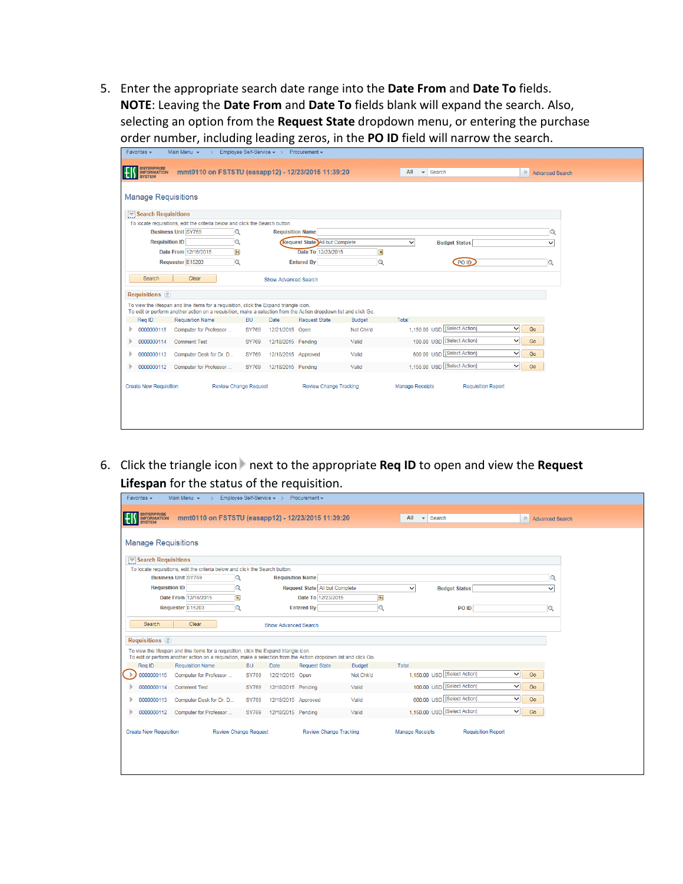5. Enter the appropriate search date range into the **Date From** and **Date To** fields. **NOTE**: Leaving the **Date From** and **Date To** fields blank will expand the search. Also, selecting an option from the **Request State** dropdown menu, or entering the purchase order number, including leading zeros, in the **PO ID** field will narrow the search.

|                                     | Main Menu $\star$<br>$\rightarrow$                                                                                                                                                                         |              | Employee Self-Service v > Procurement v |                                |               |                                     |                           |                    |
|-------------------------------------|------------------------------------------------------------------------------------------------------------------------------------------------------------------------------------------------------------|--------------|-----------------------------------------|--------------------------------|---------------|-------------------------------------|---------------------------|--------------------|
| ENTERPRISE<br>INFORMATION<br>SYSTEM | mmt0110 on FSTSTU (easapp12) - 12/23/2015 11:39:20                                                                                                                                                         |              |                                         |                                |               | All<br>$\blacktriangleright$ Search |                           | >> Advanced Search |
| <b>Manage Requisitions</b>          |                                                                                                                                                                                                            |              |                                         |                                |               |                                     |                           |                    |
| Search Requisitions                 |                                                                                                                                                                                                            |              |                                         |                                |               |                                     |                           |                    |
|                                     | To locate requisitions, edit the criteria below and click the Search button.                                                                                                                               |              |                                         |                                |               |                                     |                           |                    |
|                                     | <b>Business Unit SY769</b><br>Q                                                                                                                                                                            |              | <b>Requisition Name</b>                 |                                |               |                                     |                           | Q                  |
| <b>Requisition ID</b>               | Q                                                                                                                                                                                                          |              |                                         | Request State All but Complete |               | $\checkmark$                        | <b>Budget Status</b>      | ◡                  |
|                                     | Date From 12/16/2015<br>$\overline{\mathbf{B}}$                                                                                                                                                            |              |                                         | Date To 12/23/2015             | B             |                                     |                           |                    |
|                                     | Q<br>Requester E15203                                                                                                                                                                                      |              |                                         | <b>Entered By</b>              | Q             |                                     | PO ID                     | Q                  |
|                                     |                                                                                                                                                                                                            |              |                                         |                                |               |                                     |                           |                    |
| Search                              | Clear                                                                                                                                                                                                      |              | <b>Show Advanced Search</b>             |                                |               |                                     |                           |                    |
| <b>Requisitions</b> 2               |                                                                                                                                                                                                            |              |                                         |                                |               |                                     |                           |                    |
|                                     |                                                                                                                                                                                                            |              |                                         |                                |               |                                     |                           |                    |
|                                     | To view the lifespan and line items for a requisition, click the Expand triangle icon.<br>To edit or perform another action on a requisition, make a selection from the Action dropdown list and click Go. |              |                                         |                                |               |                                     |                           |                    |
| Req ID                              | <b>Requisition Name</b>                                                                                                                                                                                    | <b>BU</b>    | Date                                    | <b>Request State</b>           | <b>Budget</b> | Total                               |                           |                    |
| 0000000115                          | Computer for Professor                                                                                                                                                                                     | <b>SY769</b> | 12/21/2015 Open                         |                                | Not Chk'd     | 1,150.00 USD [Select Action]        |                           | $\checkmark$<br>Go |
| 0000000114                          | <b>Comment Test</b>                                                                                                                                                                                        | <b>SY769</b> | 12/18/2015 Pending                      |                                | Valid         | 100.00 USD [Select Action]          |                           | $\checkmark$<br>Go |
| 0000000113                          | Computer Desk for Dr. D                                                                                                                                                                                    | <b>SY769</b> | 12/18/2015 Approved                     |                                | Valid         | 600.00 USD [Select Action]          |                           | $\checkmark$<br>Go |
| 0000000112                          | Computer for Professor                                                                                                                                                                                     | SY769        | 12/18/2015 Pending                      |                                | Valid         | 1,150.00 USD [Select Action]        |                           | $\checkmark$<br>Go |
| <b>Create New Requisition</b>       | <b>Review Change Request</b>                                                                                                                                                                               |              |                                         | <b>Review Change Tracking</b>  |               | <b>Manage Receipts</b>              | <b>Requisition Report</b> |                    |

6. Click the triangle icon next to the appropriate **Req ID** to open and view the **Request Lifespan** for the status of the requisition.

| Favorites $\star$<br>Main Menu $\star$<br>$\rightarrow$                                                                                                                                                    | Employee Self-Service v > Procurement v            |                                       |                                      |                           |
|------------------------------------------------------------------------------------------------------------------------------------------------------------------------------------------------------------|----------------------------------------------------|---------------------------------------|--------------------------------------|---------------------------|
| ENTERPRISE<br>INFORMATION<br><b>SYSTEM</b>                                                                                                                                                                 | mmt0110 on FSTSTU (easapp12) - 12/23/2015 11:39:20 |                                       | All<br>$\blacktriangleright$ Search  | >> Advanced Search        |
| <b>Manage Requisitions</b>                                                                                                                                                                                 |                                                    |                                       |                                      |                           |
| Search Requisitions                                                                                                                                                                                        |                                                    |                                       |                                      |                           |
| To locate requisitions, edit the criteria below and click the Search button.                                                                                                                               |                                                    |                                       |                                      |                           |
| <b>Business Unit SY769</b>                                                                                                                                                                                 | Q<br><b>Requisition Name</b>                       |                                       |                                      | Q                         |
| <b>Requisition ID</b>                                                                                                                                                                                      | Q                                                  | Request State All but Complete        | $\checkmark$<br><b>Budget Status</b> | $\checkmark$              |
| Date From 12/16/2015                                                                                                                                                                                       | H                                                  | Date To 12/23/2015<br>Þij             |                                      |                           |
| Requester E15203                                                                                                                                                                                           | $\alpha$<br><b>Entered By</b>                      | Q                                     | PO ID                                | Q                         |
|                                                                                                                                                                                                            |                                                    |                                       |                                      |                           |
| Clear<br>Search                                                                                                                                                                                            | <b>Show Advanced Search</b>                        |                                       |                                      |                           |
| <b>Requisitions</b> (?)                                                                                                                                                                                    |                                                    |                                       |                                      |                           |
| To view the lifespan and line items for a requisition, click the Expand triangle icon.<br>To edit or perform another action on a requisition, make a selection from the Action dropdown list and click Go. |                                                    |                                       |                                      |                           |
| Reg ID<br><b>Requisition Name</b>                                                                                                                                                                          | <b>BU</b><br>Date                                  | <b>Request State</b><br><b>Budget</b> | Total                                |                           |
| 0000000115<br>Computer for Professor                                                                                                                                                                       | <b>SY769</b><br>12/21/2015 Open                    | Not Chk'd                             | 1,150.00 USD [Select Action]         | ◡∥<br>Go                  |
| 0000000114<br><b>Comment Test</b>                                                                                                                                                                          | 12/18/2015 Pending<br><b>SY769</b>                 | Valid                                 | 100.00 USD [Select Action]           | ◡<br>Go                   |
| 0000000113<br>Computer Desk for Dr. D                                                                                                                                                                      | <b>SY769</b><br>12/18/2015 Approved                | Valid                                 | 600.00 USD [Select Action]           | $\vee$<br>Go              |
| 0000000112<br>Computer for Professor                                                                                                                                                                       | SY769<br>12/18/2015 Pendina                        | Valid                                 | 1,150.00 USD [Select Action]         | ◡<br>Go                   |
| <b>Create New Requisition</b>                                                                                                                                                                              | <b>Review Change Request</b>                       | Review Change Tracking                | Manage Receipts                      | <b>Requisition Report</b> |
|                                                                                                                                                                                                            |                                                    |                                       |                                      |                           |
|                                                                                                                                                                                                            |                                                    |                                       |                                      |                           |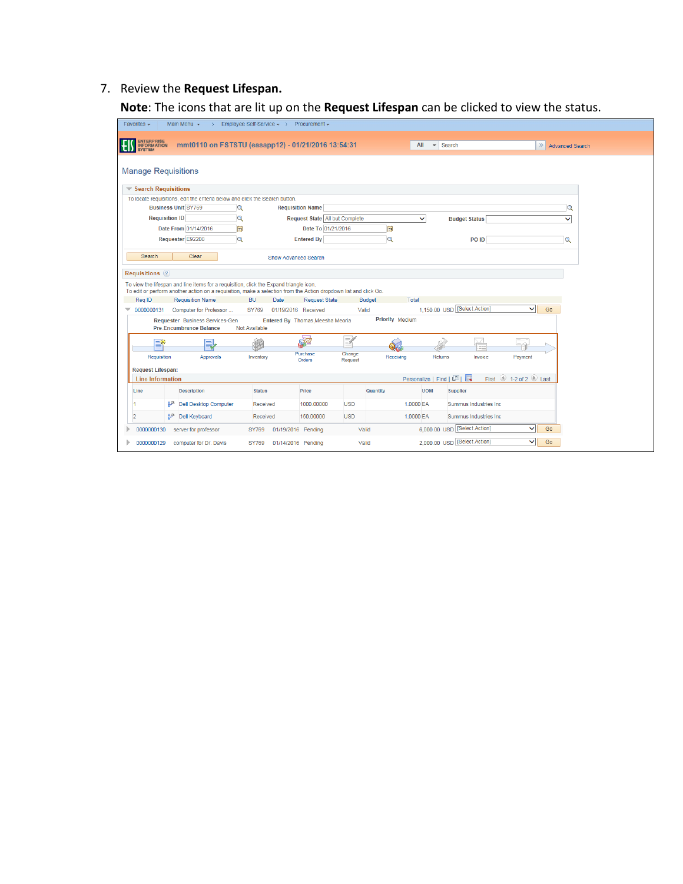## 7. Review the **Request Lifespan.**

**Note**: The icons that are lit up on the **Request Lifespan** can be clicked to view the status.

| Employee Self-Service v > Procurement v<br>Main Menu $\star$<br>Favorites $\sim$<br>$\rightarrow$                                                                      |  |
|------------------------------------------------------------------------------------------------------------------------------------------------------------------------|--|
| ENTERPRISE<br>INFORMATION<br>mmt0110 on FSTSTU (easapp12) - 01/21/2016 13:54:31<br>$All \rightarrow$ Search<br>НIJ<br>$\gg$<br><b>Advanced Search</b><br><b>SYSTEM</b> |  |
| <b>Manage Requisitions</b>                                                                                                                                             |  |
| $\blacktriangledown$ Search Requisitions                                                                                                                               |  |
| To locate requisitions, edit the criteria below and click the Search button.                                                                                           |  |
| <b>Business Unit SY769</b><br>$\alpha$<br><b>Requisition Name</b><br>Q                                                                                                 |  |
| <b>Requisition ID</b><br>Q<br>Request State All but Complete<br>$\checkmark$<br><b>Budget Status</b><br>$\checkmark$                                                   |  |
| Date From 01/14/2016<br>E<br>B<br>Date To 01/21/2016                                                                                                                   |  |
| $\mathbf Q$<br>$\alpha$<br>Requester E92200<br>$\overline{Q}$<br><b>Entered By</b><br>PO ID                                                                            |  |
| Search<br>Clear<br>Show Advanced Search                                                                                                                                |  |
| <b>Requisitions</b> ?                                                                                                                                                  |  |
| To view the lifespan and line items for a requisition, click the Expand triangle icon.                                                                                 |  |
| To edit or perform another action on a requisition, make a selection from the Action dropdown list and click Go.                                                       |  |
| Rea ID<br><b>Requisition Name</b><br>Total<br>BU.<br>Date<br><b>Request State</b><br><b>Budget</b>                                                                     |  |
| 1,150.00 USD [Select Action]<br>◡<br>Go<br>0000000131<br>Computer for Professor<br><b>SY769</b><br>01/19/2016 Received<br>Valid<br>$\overline{\phantom{a}}$            |  |
| <b>Priority Medium</b><br>Requester Business Services-Gen<br>Entered By Thomas, Meesha Meoria<br><b>Pre-Encumbrance Balance</b><br>Not Available                       |  |
| ≅<br>W)<br>ЪZ<br>三米                                                                                                                                                    |  |
| Purchase<br>Change<br>Requisition<br>Returns<br>Payment<br>Approvals<br>Inventory<br>Receiving<br>Invoice<br><b>Orders</b><br><b>Request</b>                           |  |
| <b>Request Lifespan:</b>                                                                                                                                               |  |
| Personalize   Find   2  <br>First $\bigcirc$ 1-2 of 2 $\bigcirc$ Last<br><b>Line Information</b>                                                                       |  |
| <b>Description</b><br><b>Status</b><br>Price<br>Quantity<br><b>UOM</b><br><b>Supplier</b><br>Line                                                                      |  |
| ge<br><b>Dell Desktop Computer</b><br>1000.00000<br><b>USD</b><br>1,0000 EA<br>Summus Industries Inc.<br>Received                                                      |  |
| ச<br><b>USD</b><br>Dell Keyboard<br>150.00000<br>1.0000 EA<br>Summus Industries Inc.<br>$\overline{2}$<br>Received                                                     |  |
|                                                                                                                                                                        |  |
| 6,000.00 USD   [Select Action]<br>◡<br>Go<br>Valid<br>0000000130<br>server for professor<br>01/19/2016 Pending<br><b>SY769</b>                                         |  |